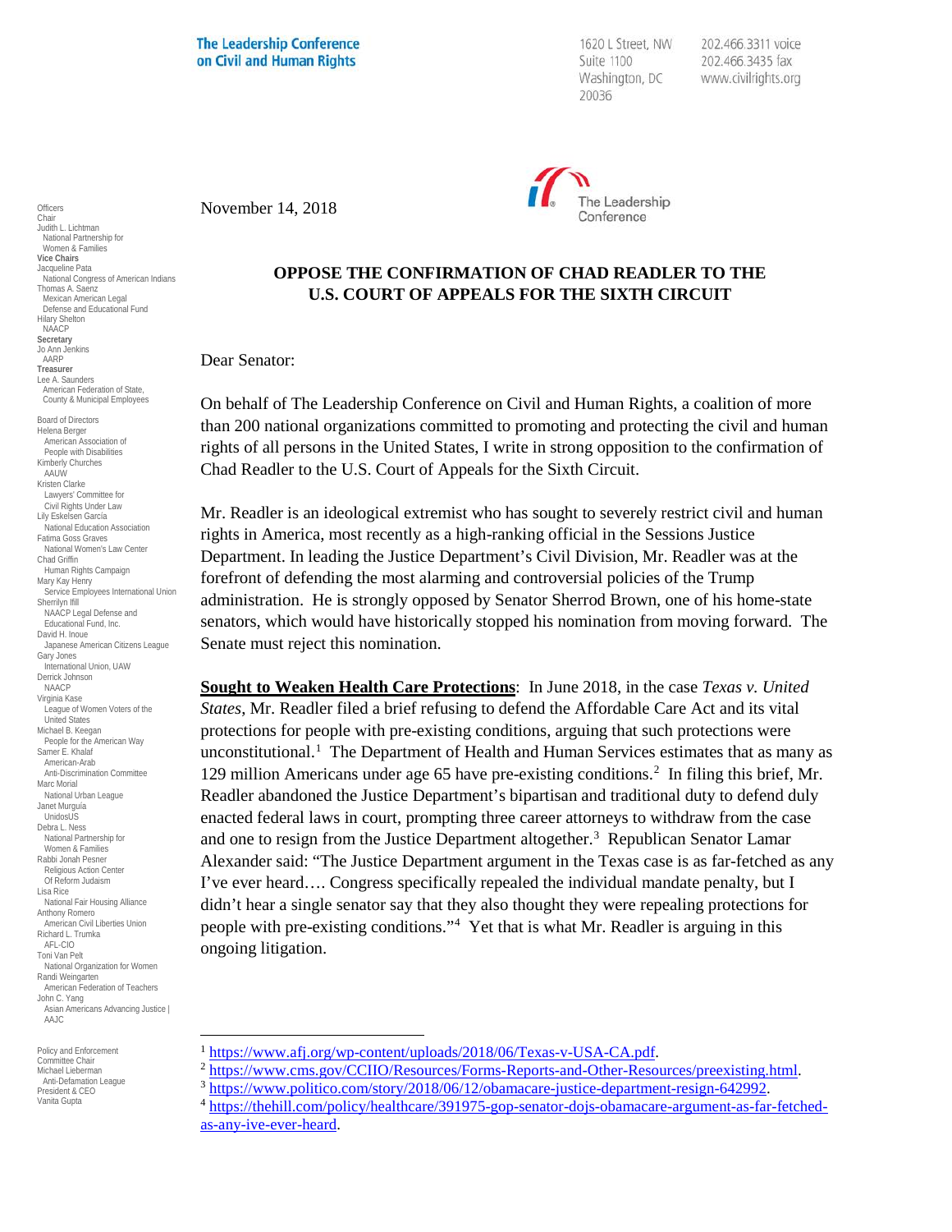**The Leadership Conference** on Civil and Human Rights

1620 L Street, NW Suite 1100 Washington, DC 20036

202.466.3311 voice 202.466.3435 fax www.civilrights.org



November 14, 2018

## **OPPOSE THE CONFIRMATION OF CHAD READLER TO THE U.S. COURT OF APPEALS FOR THE SIXTH CIRCUIT**

Dear Senator:

On behalf of The Leadership Conference on Civil and Human Rights, a coalition of more than 200 national organizations committed to promoting and protecting the civil and human rights of all persons in the United States, I write in strong opposition to the confirmation of Chad Readler to the U.S. Court of Appeals for the Sixth Circuit.

Mr. Readler is an ideological extremist who has sought to severely restrict civil and human rights in America, most recently as a high-ranking official in the Sessions Justice Department. In leading the Justice Department's Civil Division, Mr. Readler was at the forefront of defending the most alarming and controversial policies of the Trump administration. He is strongly opposed by Senator Sherrod Brown, one of his home-state senators, which would have historically stopped his nomination from moving forward. The Senate must reject this nomination.

**Sought to Weaken Health Care Protections**: In June 2018, in the case *Texas v. United States*, Mr. Readler filed a brief refusing to defend the Affordable Care Act and its vital protections for people with pre-existing conditions, arguing that such protections were unconstitutional.[1](#page-0-0) The Department of Health and Human Services estimates that as many as 1[2](#page-0-1)9 million Americans under age 65 have pre-existing conditions.<sup>2</sup> In filing this brief, Mr. Readler abandoned the Justice Department's bipartisan and traditional duty to defend duly enacted federal laws in court, prompting three career attorneys to withdraw from the case and one to resign from the Justice Department altogether.<sup>[3](#page-0-2)</sup> Republican Senator Lamar Alexander said: "The Justice Department argument in the Texas case is as far-fetched as any I've ever heard…. Congress specifically repealed the individual mandate penalty, but I didn't hear a single senator say that they also thought they were repealing protections for people with pre-existing conditions."[4](#page-0-3) Yet that is what Mr. Readler is arguing in this ongoing litigation.

**Officers** Chair Judith L. Lichtman National Partnership for Women & Families **Vice Chairs** Jacqueline Pata National Congress of American Indians Thomas A. Saenz Mexican American Legal Defense and Educational Fund Hilary Shelton NAACP **Secretary** Jo Ann Jenkins AARP **Treasurer** Lee A. Saunders American Federation of State, County & Municipal Employees Board of Directors Helena Berger American Association of People with Disabilities Kimberly Churches AAUW Kristen Clarke Lawyers' Committee for Civil Rights Under Law Lily Eskelsen García National Education Association Fatima Goss Graves National Women's Law Center Chad Griffin Human Rights Campaign Mary Kay Henry Service Employees International Union Sherrilyn Ifill NAACP Legal Defense and Educational Fund, Inc. David H. Inoue Japanese American Citizens League Gary Jones International Union, UAW Derrick Johnson NAACP Virginia Kase League of Women Voters of the United States Michael B. Keegan People for the American Way Samer E. Khalaf American-Arab Anti-Discrimination Committee Marc Morial National Urban League Janet Murguía UnidosUS Debra L. Ness National Partnership for Women & Families Rabbi Jonah Pesner Religious Action Center Of Reform Judaism Lisa Rice National Fair Housing Alliance Anthony Romero American Civil Liberties Union Richard L. Trumka AFL-CIO Toni Van Pelt National Organization for Women Randi Weingarten American Federation of Teachers John C. Yang Asian Americans Advancing Justice | AAJC

<span id="page-0-3"></span><span id="page-0-2"></span><span id="page-0-1"></span><span id="page-0-0"></span>Policy and Enforcement Committee Chair Michael Lieberman Anti-Defamation League President & CEO Vanita Gupta

<sup>&</sup>lt;sup>1</sup>[https://www.afj.org/wp-content/uploads/2018/06/Texas-v-USA-CA.pdf.](https://www.afj.org/wp-content/uploads/2018/06/Texas-v-USA-CA.pdf)<br>
<sup>2</sup>https://www.cms.gov/CCIIO/Resources/Forms-Reports-and-Other-Resources/preexisting.html<br>
<sup>3</sup>https://www.politico.com/story/2018/06/12/obamacare-justi

[as-any-ive-ever-heard.](https://thehill.com/policy/healthcare/391975-gop-senator-dojs-obamacare-argument-as-far-fetched-as-any-ive-ever-heard)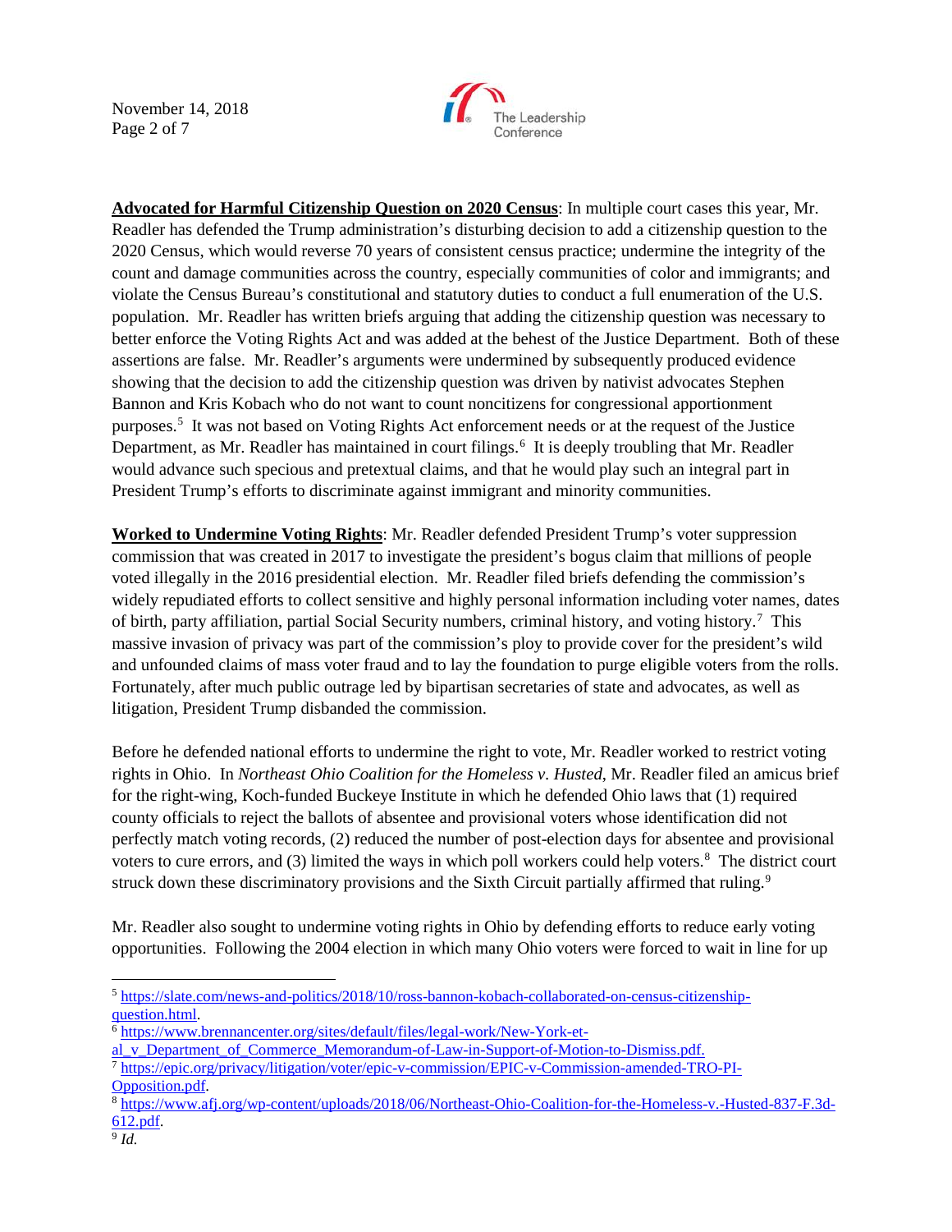November 14, 2018 Page 2 of 7



**Advocated for Harmful Citizenship Question on 2020 Census**: In multiple court cases this year, Mr. Readler has defended the Trump administration's disturbing decision to add a citizenship question to the 2020 Census, which would reverse 70 years of consistent census practice; undermine the integrity of the count and damage communities across the country, especially communities of color and immigrants; and violate the Census Bureau's constitutional and statutory duties to conduct a full enumeration of the U.S. population. Mr. Readler has written briefs arguing that adding the citizenship question was necessary to better enforce the Voting Rights Act and was added at the behest of the Justice Department. Both of these assertions are false. Mr. Readler's arguments were undermined by subsequently produced evidence showing that the decision to add the citizenship question was driven by nativist advocates Stephen Bannon and Kris Kobach who do not want to count noncitizens for congressional apportionment purposes[.5](#page-1-0) It was not based on Voting Rights Act enforcement needs or at the request of the Justice Department, as Mr. Readler has maintained in court filings.<sup>[6](#page-1-1)</sup> It is deeply troubling that Mr. Readler would advance such specious and pretextual claims, and that he would play such an integral part in President Trump's efforts to discriminate against immigrant and minority communities.

**Worked to Undermine Voting Rights**: Mr. Readler defended President Trump's voter suppression commission that was created in 2017 to investigate the president's bogus claim that millions of people voted illegally in the 2016 presidential election. Mr. Readler filed briefs defending the commission's widely repudiated efforts to collect sensitive and highly personal information including voter names, dates of birth, party affiliation, partial Social Security numbers, criminal history, and voting history.<sup>[7](#page-1-2)</sup> This massive invasion of privacy was part of the commission's ploy to provide cover for the president's wild and unfounded claims of mass voter fraud and to lay the foundation to purge eligible voters from the rolls. Fortunately, after much public outrage led by bipartisan secretaries of state and advocates, as well as litigation, President Trump disbanded the commission.

Before he defended national efforts to undermine the right to vote, Mr. Readler worked to restrict voting rights in Ohio. In *Northeast Ohio Coalition for the Homeless v. Husted*, Mr. Readler filed an amicus brief for the right-wing, Koch-funded Buckeye Institute in which he defended Ohio laws that (1) required county officials to reject the ballots of absentee and provisional voters whose identification did not perfectly match voting records, (2) reduced the number of post-election days for absentee and provisional voters to cure errors, and (3) limited the ways in which poll workers could help voters.<sup>8</sup> The district court struck down these discriminatory provisions and the Sixth Circuit partially affirmed that ruling.<sup>9</sup>

Mr. Readler also sought to undermine voting rights in Ohio by defending efforts to reduce early voting opportunities. Following the 2004 election in which many Ohio voters were forced to wait in line for up

<span id="page-1-0"></span> <sup>5</sup> [https://slate.com/news-and-politics/2018/10/ross-bannon-kobach-collaborated-on-census-citizenship](https://slate.com/news-and-politics/2018/10/ross-bannon-kobach-collaborated-on-census-citizenship-question.html)[question.html.](https://slate.com/news-and-politics/2018/10/ross-bannon-kobach-collaborated-on-census-citizenship-question.html)

<span id="page-1-1"></span><sup>6</sup> [https://www.brennancenter.org/sites/default/files/legal-work/New-York-et-](https://www.brennancenter.org/sites/default/files/legal-work/New-York-et-al_v_Department_of_Commerce_Memorandum-of-Law-in-Support-of-Motion-to-Dismiss.pdf)

al v Department of Commerce Memorandum-of-Law-in-Support-of-Motion-to-Dismiss.pdf.

<span id="page-1-2"></span><sup>7</sup> [https://epic.org/privacy/litigation/voter/epic-v-commission/EPIC-v-Commission-amended-TRO-PI-](https://epic.org/privacy/litigation/voter/epic-v-commission/EPIC-v-Commission-amended-TRO-PI-Opposition.pdf)[Opposition.pdf.](https://epic.org/privacy/litigation/voter/epic-v-commission/EPIC-v-Commission-amended-TRO-PI-Opposition.pdf) 8 [https://www.afj.org/wp-content/uploads/2018/06/Northeast-Ohio-Coalition-for-the-Homeless-v.-Husted-837-F.3d-](https://www.afj.org/wp-content/uploads/2018/06/Northeast-Ohio-Coalition-for-the-Homeless-v.-Husted-837-F.3d-612.pdf)

<span id="page-1-3"></span>[<sup>612.</sup>pdf.](https://www.afj.org/wp-content/uploads/2018/06/Northeast-Ohio-Coalition-for-the-Homeless-v.-Husted-837-F.3d-612.pdf)

<span id="page-1-4"></span> $9$  *Id.*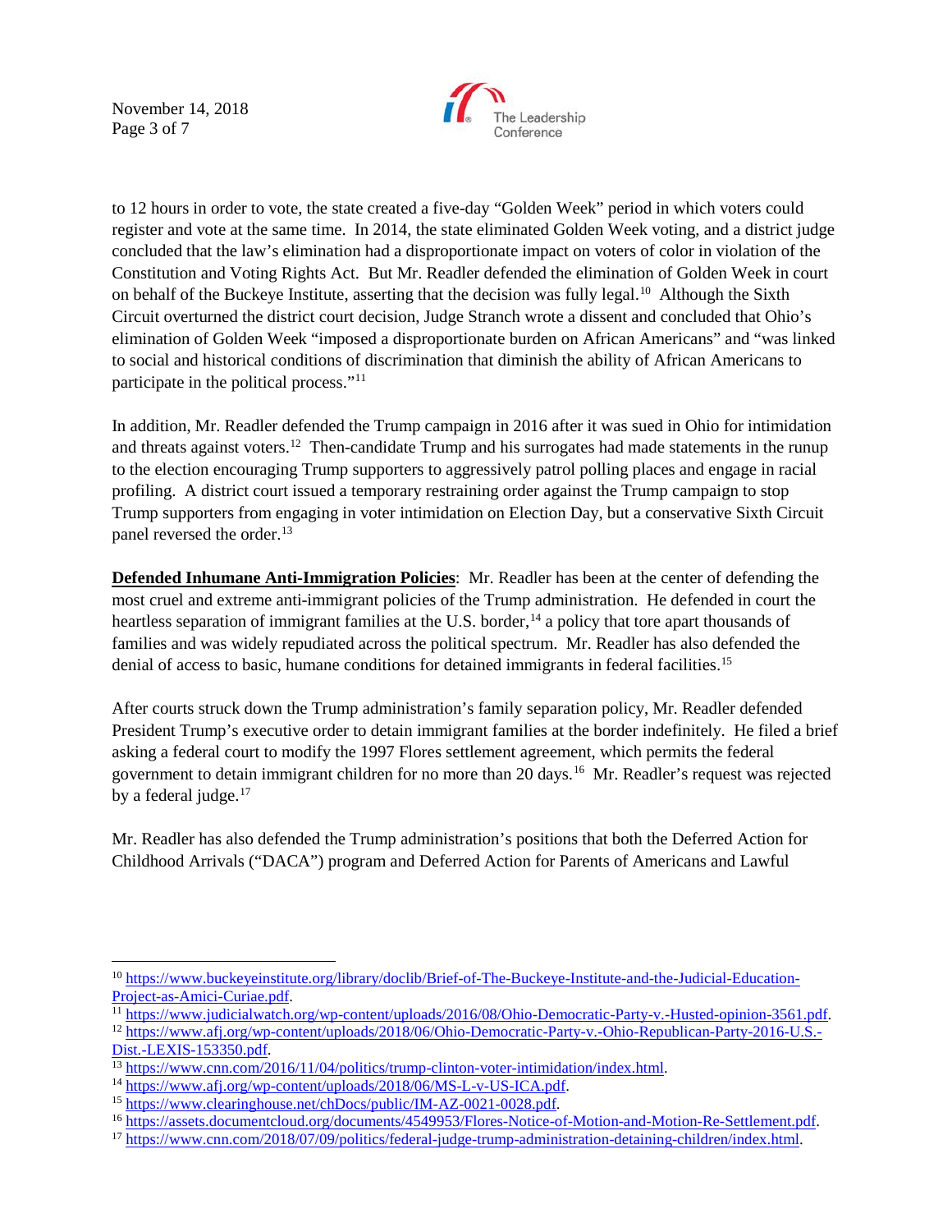November 14, 2018 Page 3 of 7



to 12 hours in order to vote, the state created a five-day "Golden Week" period in which voters could register and vote at the same time. In 2014, the state eliminated Golden Week voting, and a district judge concluded that the law's elimination had a disproportionate impact on voters of color in violation of the Constitution and Voting Rights Act. But Mr. Readler defended the elimination of Golden Week in court on behalf of the Buckeye Institute, asserting that the decision was fully legal.<sup>10</sup> Although the Sixth Circuit overturned the district court decision, Judge Stranch wrote a dissent and concluded that Ohio's elimination of Golden Week "imposed a disproportionate burden on African Americans" and "was linked to social and historical conditions of discrimination that diminish the ability of African Americans to participate in the political process."[11](#page-2-1)

In addition, Mr. Readler defended the Trump campaign in 2016 after it was sued in Ohio for intimidation and threats against voters.<sup>12</sup> Then-candidate Trump and his surrogates had made statements in the runup to the election encouraging Trump supporters to aggressively patrol polling places and engage in racial profiling. A district court issued a temporary restraining order against the Trump campaign to stop Trump supporters from engaging in voter intimidation on Election Day, but a conservative Sixth Circuit panel reversed the order.<sup>[13](#page-2-3)</sup>

**Defended Inhumane Anti-Immigration Policies**: Mr. Readler has been at the center of defending the most cruel and extreme anti-immigrant policies of the Trump administration. He defended in court the heartless separation of immigrant families at the U.S. border, <sup>[14](#page-2-4)</sup> a policy that tore apart thousands of families and was widely repudiated across the political spectrum. Mr. Readler has also defended the denial of access to basic, humane conditions for detained immigrants in federal facilities.[15](#page-2-5)

After courts struck down the Trump administration's family separation policy, Mr. Readler defended President Trump's executive order to detain immigrant families at the border indefinitely. He filed a brief asking a federal court to modify the 1997 Flores settlement agreement, which permits the federal government to detain immigrant children for no more than 20 days.[16](#page-2-6) Mr. Readler's request was rejected by a federal judge.<sup>[17](#page-2-7)</sup>

Mr. Readler has also defended the Trump administration's positions that both the Deferred Action for Childhood Arrivals ("DACA") program and Deferred Action for Parents of Americans and Lawful

<span id="page-2-0"></span><sup>&</sup>lt;sup>10</sup> https://www.buckeyeinstitute.org/library/doclib/Brief-of-The-Buckeye-Institute-and-the-Judicial-Education-<br>Project-as-Amici-Curiae.pdf.

<span id="page-2-2"></span><span id="page-2-1"></span>

<sup>&</sup>lt;sup>11</sup>[https://www.judicialwatch.org/wp-content/uploads/2016/08/Ohio-Democratic-Party-v.-Husted-opinion-3561.pdf.](https://www.judicialwatch.org/wp-content/uploads/2016/08/Ohio-Democratic-Party-v.-Husted-opinion-3561.pdf)<br><sup>12</sup>[https://www.afj.org/wp-content/uploads/2018/06/Ohio-Democratic-Party-v.-Ohio-Republican-Party-2016-U.S.-](https://www.afj.org/wp-content/uploads/2018/06/Ohio-Democratic-Party-v.-Ohio-Republican-Party-2016-U.S.-Dist.-LEXIS-153350.pdf)<br>Di

<span id="page-2-4"></span>

<span id="page-2-6"></span><span id="page-2-5"></span>

<span id="page-2-3"></span><sup>&</sup>lt;sup>13</sup> https://www.cnn.com/2016/11/04/politics/trump-clinton-voter-intimidation/index.html.<br><sup>14</sup> [https://www.afj.org/wp-content/uploads/2018/06/MS-L-v-US-ICA.pdf.](https://www.afj.org/wp-content/uploads/2018/06/MS-L-v-US-ICA.pdf)<br><sup>15</sup> https://www.clearinghouse.net/chDocs/public/IM-AZ-0021-

<span id="page-2-7"></span>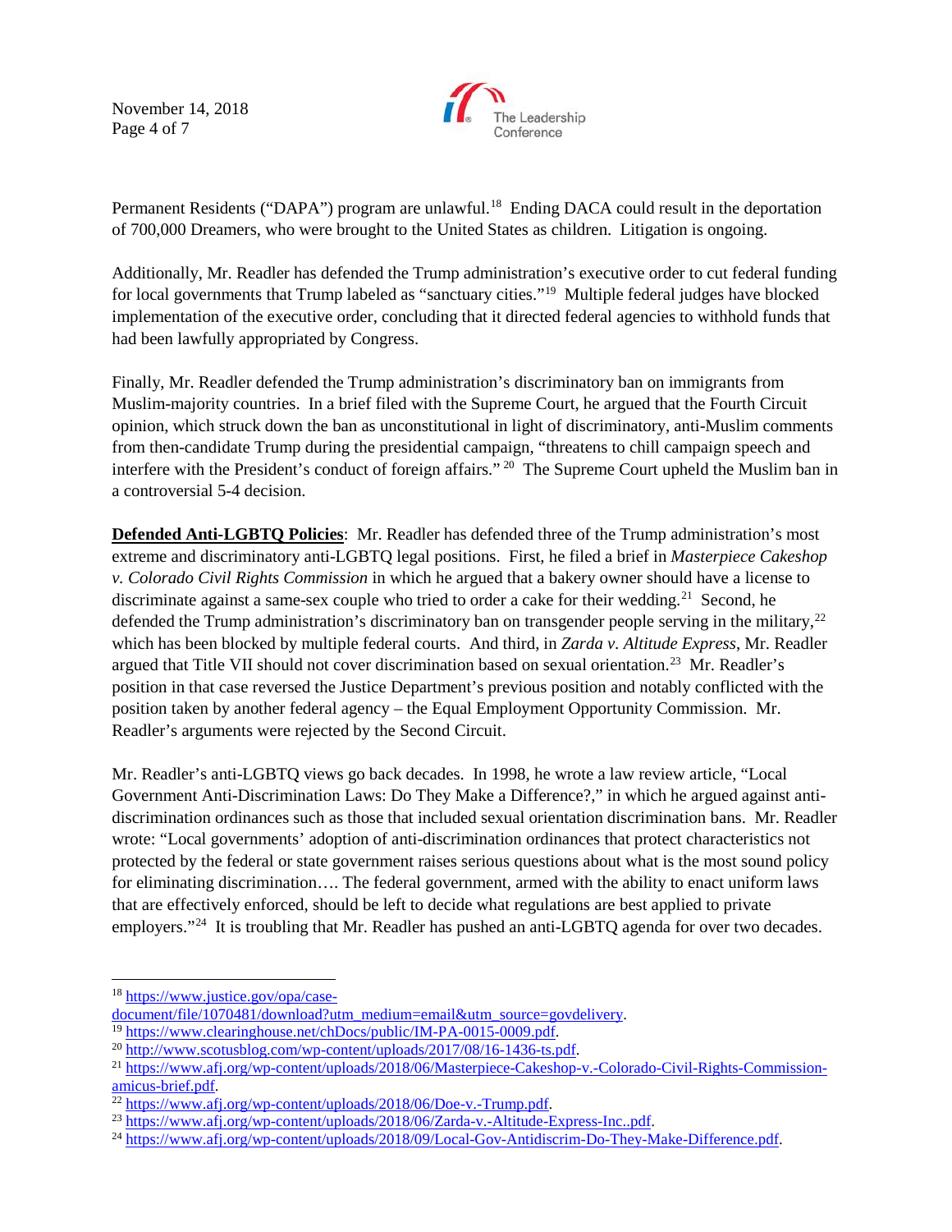November 14, 2018 Page 4 of 7



Permanent Residents ("DAPA") program are unlawful.<sup>18</sup> Ending DACA could result in the deportation of 700,000 Dreamers, who were brought to the United States as children. Litigation is ongoing.

Additionally, Mr. Readler has defended the Trump administration's executive order to cut federal funding for local governments that Trump labeled as "sanctuary cities."[19](#page-3-1) Multiple federal judges have blocked implementation of the executive order, concluding that it directed federal agencies to withhold funds that had been lawfully appropriated by Congress.

Finally, Mr. Readler defended the Trump administration's discriminatory ban on immigrants from Muslim-majority countries. In a brief filed with the Supreme Court, he argued that the Fourth Circuit opinion, which struck down the ban as unconstitutional in light of discriminatory, anti-Muslim comments from then-candidate Trump during the presidential campaign, "threatens to chill campaign speech and interfere with the President's conduct of foreign affairs." [20](#page-3-2) The Supreme Court upheld the Muslim ban in a controversial 5-4 decision.

**Defended Anti-LGBTQ Policies**: Mr. Readler has defended three of the Trump administration's most extreme and discriminatory anti-LGBTQ legal positions. First, he filed a brief in *Masterpiece Cakeshop v. Colorado Civil Rights Commission* in which he argued that a bakery owner should have a license to discriminate against a same-sex couple who tried to order a cake for their wedding.<sup>[21](#page-3-3)</sup> Second, he defended the Trump administration's discriminatory ban on transgender people serving in the military,<sup>[22](#page-3-4)</sup> which has been blocked by multiple federal courts. And third, in *Zarda v. Altitude Express*, Mr. Readler argued that Title VII should not cover discrimination based on sexual orientation.[23](#page-3-5) Mr. Readler's position in that case reversed the Justice Department's previous position and notably conflicted with the position taken by another federal agency – the Equal Employment Opportunity Commission. Mr. Readler's arguments were rejected by the Second Circuit.

Mr. Readler's anti-LGBTQ views go back decades. In 1998, he wrote a law review article, "Local Government Anti-Discrimination Laws: Do They Make a Difference?," in which he argued against antidiscrimination ordinances such as those that included sexual orientation discrimination bans. Mr. Readler wrote: "Local governments' adoption of anti-discrimination ordinances that protect characteristics not protected by the federal or state government raises serious questions about what is the most sound policy for eliminating discrimination…. The federal government, armed with the ability to enact uniform laws that are effectively enforced, should be left to decide what regulations are best applied to private employers."<sup>24</sup> It is troubling that Mr. Readler has pushed an anti-LGBTQ agenda for over two decades.

<span id="page-3-0"></span><sup>&</sup>lt;sup>18</sup> https://www.justice.gov/opa/case-<br>document/file/1070481/download?utm\_medium=email&utm\_source=govdelivery.

<span id="page-3-1"></span>

<span id="page-3-3"></span><span id="page-3-2"></span>

<sup>&</sup>lt;sup>19</sup> https://www.clearinghouse.net/chDocs/public/IM-PA-0015-0009.pdf.<br><sup>20</sup> [http://www.scotusblog.com/wp-content/uploads/2017/08/16-1436-ts.pdf.](http://www.scotusblog.com/wp-content/uploads/2017/08/16-1436-ts.pdf)<br><sup>21</sup> https://www.afj.org/wp-content/uploads/2018/06/Masterpiece-Cakeshop-v.-Co

<span id="page-3-4"></span>

<span id="page-3-6"></span><span id="page-3-5"></span>

 $\frac{\frac{22 \text{ https://www.afj.org/wp-control/uploads/2018/06/Doe-v.-Trump.pdf}}{\text{https://www.afj.org/wp-control/uploads/2018/06/Zarda-v.-Altitude-Express-Inc.,pdf.}}$   $\frac{\frac{23 \text{ https://www.afj.org/wp-control/uploads/2018/06/Zarda-v.-Altitude-Express-Inc.,pdf.}}{\text{https://www.afj.org/wp-control/uploads/2018/09/Local-Gov-Antidiscrim-Do-They-Make-Difference.pdf.}}$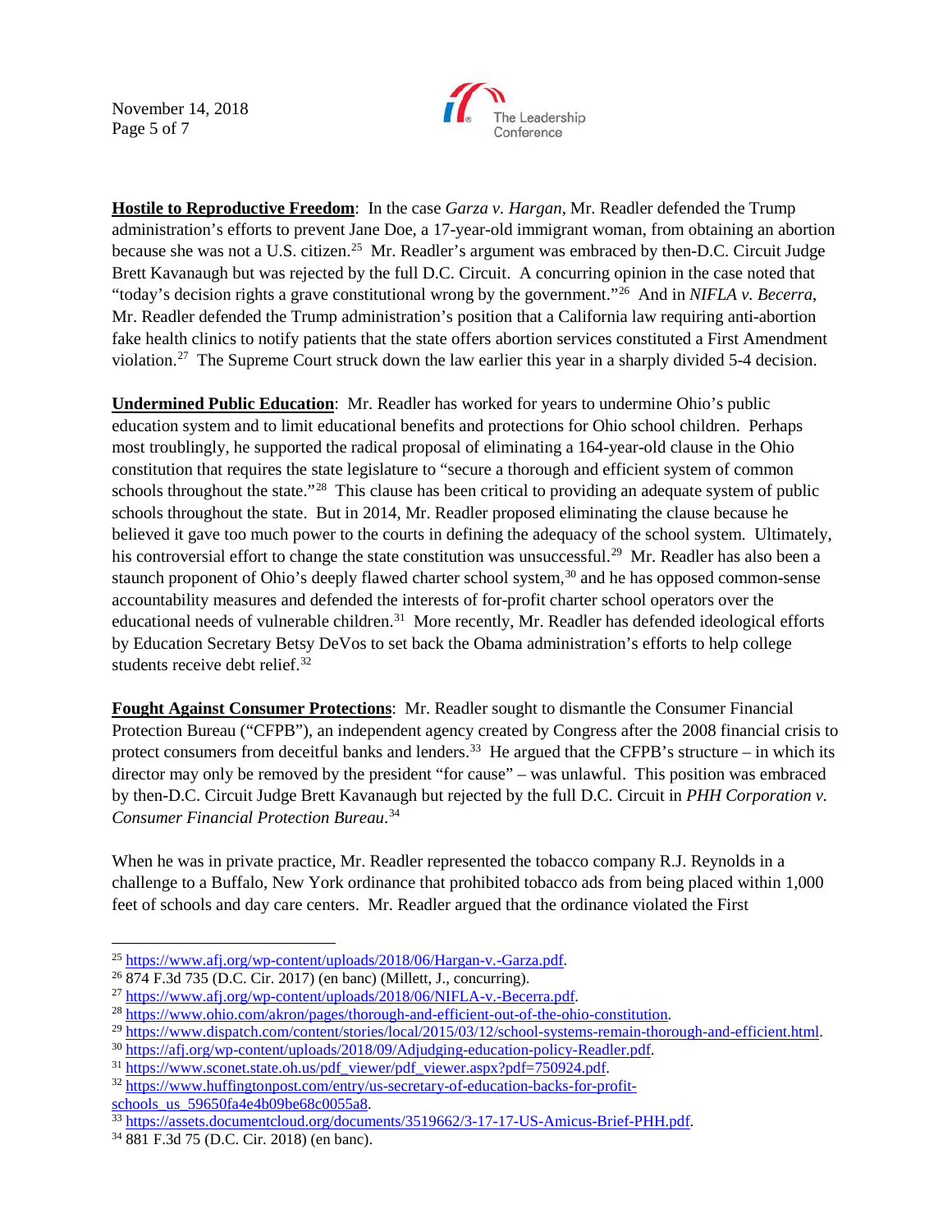November 14, 2018 Page 5 of 7



**Hostile to Reproductive Freedom**: In the case *Garza v. Hargan*, Mr. Readler defended the Trump administration's efforts to prevent Jane Doe, a 17-year-old immigrant woman, from obtaining an abortion because she was not a U.S. citizen.<sup>[25](#page-4-0)</sup> Mr. Readler's argument was embraced by then-D.C. Circuit Judge Brett Kavanaugh but was rejected by the full D.C. Circuit. A concurring opinion in the case noted that "today's decision rights a grave constitutional wrong by the government."[26](#page-4-1) And in *NIFLA v. Becerra*, Mr. Readler defended the Trump administration's position that a California law requiring anti-abortion fake health clinics to notify patients that the state offers abortion services constituted a First Amendment violation.[27](#page-4-2) The Supreme Court struck down the law earlier this year in a sharply divided 5-4 decision.

**Undermined Public Education**: Mr. Readler has worked for years to undermine Ohio's public education system and to limit educational benefits and protections for Ohio school children. Perhaps most troublingly, he supported the radical proposal of eliminating a 164-year-old clause in the Ohio constitution that requires the state legislature to "secure a thorough and efficient system of common schools throughout the state."<sup>[28](#page-4-3)</sup> This clause has been critical to providing an adequate system of public schools throughout the state. But in 2014, Mr. Readler proposed eliminating the clause because he believed it gave too much power to the courts in defining the adequacy of the school system. Ultimately, his controversial effort to change the state constitution was unsuccessful.<sup>[29](#page-4-4)</sup> Mr. Readler has also been a staunch proponent of Ohio's deeply flawed charter school system,<sup>[30](#page-4-5)</sup> and he has opposed common-sense accountability measures and defended the interests of for-profit charter school operators over the educational needs of vulnerable children.<sup>31</sup> More recently, Mr. Readler has defended ideological efforts by Education Secretary Betsy DeVos to set back the Obama administration's efforts to help college students receive debt relief.<sup>32</sup>

**Fought Against Consumer Protections**: Mr. Readler sought to dismantle the Consumer Financial Protection Bureau ("CFPB"), an independent agency created by Congress after the 2008 financial crisis to protect consumers from deceitful banks and lenders.<sup>[33](#page-4-8)</sup> He argued that the CFPB's structure – in which its director may only be removed by the president "for cause" – was unlawful. This position was embraced by then-D.C. Circuit Judge Brett Kavanaugh but rejected by the full D.C. Circuit in *PHH Corporation v. Consumer Financial Protection Bureau*. [34](#page-4-9)

When he was in private practice, Mr. Readler represented the tobacco company R.J. Reynolds in a challenge to a Buffalo, New York ordinance that prohibited tobacco ads from being placed within 1,000 feet of schools and day care centers. Mr. Readler argued that the ordinance violated the First

<span id="page-4-0"></span><sup>&</sup>lt;sup>25</sup> [https://www.afj.org/wp-content/uploads/2018/06/Hargan-v.-Garza.pdf.](https://www.afj.org/wp-content/uploads/2018/06/Hargan-v.-Garza.pdf)<br><sup>26</sup> 874 F.3d 735 (D.C. Cir. 2017) (en banc) (Millett, J., concurring).<br><sup>27</sup> https://www.afj.org/wp-content/uploads/2018/06/NIFLA-v.-Becerra.pdf.

<span id="page-4-1"></span>

<span id="page-4-2"></span>

<span id="page-4-4"></span>

<span id="page-4-5"></span>

<span id="page-4-7"></span><span id="page-4-6"></span>

<span id="page-4-3"></span><sup>&</sup>lt;sup>28</sup> [https://www.ohio.com/akron/pages/thorough-and-efficient-out-of-the-ohio-constitution.](https://www.ohio.com/akron/pages/thorough-and-efficient-out-of-the-ohio-constitution)<br>
<sup>29</sup> https://www.dispatch.com/content/stories/local/2015/03/12/school-systems-remain-thorough-and-efficient.html<br>
<sup>30</sup> https://afj

<span id="page-4-8"></span><sup>&</sup>lt;sup>33</sup>[https://assets.documentcloud.org/documents/3519662/3-17-17-US-Amicus-Brief-PHH.pdf.](https://assets.documentcloud.org/documents/3519662/3-17-17-US-Amicus-Brief-PHH.pdf) <sup>34</sup> 881 F.3d 75 (D.C. Cir. 2018) (en banc).

<span id="page-4-9"></span>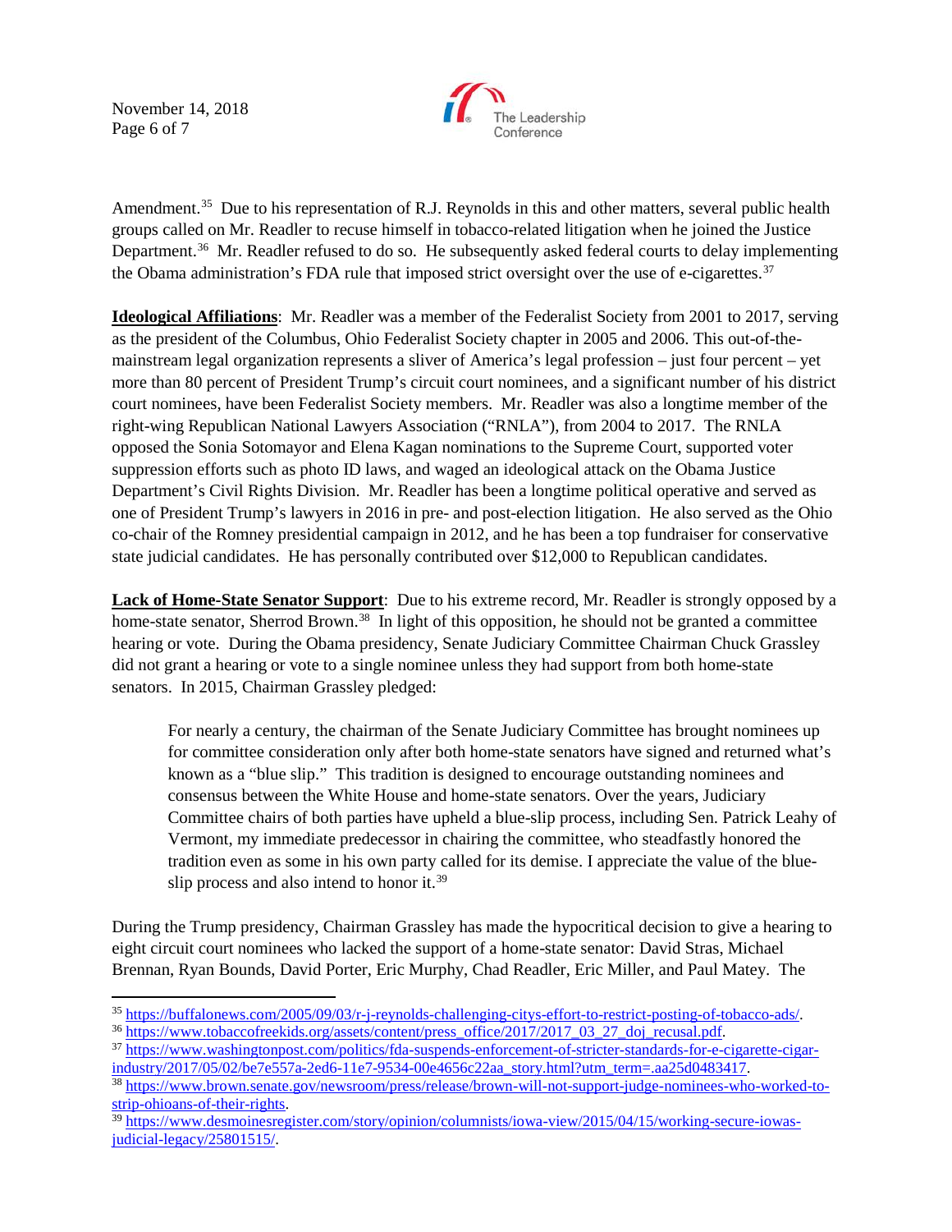November 14, 2018 Page 6 of 7



Amendment.<sup>35</sup> Due to his representation of R.J. Reynolds in this and other matters, several public health groups called on Mr. Readler to recuse himself in tobacco-related litigation when he joined the Justice Department.<sup>[36](#page-5-1)</sup> Mr. Readler refused to do so. He subsequently asked federal courts to delay implementing the Obama administration's FDA rule that imposed strict oversight over the use of e-cigarettes.<sup>[37](#page-5-2)</sup>

**Ideological Affiliations**: Mr. Readler was a member of the Federalist Society from 2001 to 2017, serving as the president of the Columbus, Ohio Federalist Society chapter in 2005 and 2006. This out-of-themainstream legal organization represents a sliver of America's legal profession – just four percent – yet more than 80 percent of President Trump's circuit court nominees, and a significant number of his district court nominees, have been Federalist Society members. Mr. Readler was also a longtime member of the right-wing Republican National Lawyers Association ("RNLA"), from 2004 to 2017. The RNLA opposed the Sonia Sotomayor and Elena Kagan nominations to the Supreme Court, supported voter suppression efforts such as photo ID laws, and waged an ideological attack on the Obama Justice Department's Civil Rights Division. Mr. Readler has been a longtime political operative and served as one of President Trump's lawyers in 2016 in pre- and post-election litigation. He also served as the Ohio co-chair of the Romney presidential campaign in 2012, and he has been a top fundraiser for conservative state judicial candidates. He has personally contributed over \$12,000 to Republican candidates.

**Lack of Home-State Senator Support**: Due to his extreme record, Mr. Readler is strongly opposed by a home-state senator, Sherrod Brown.<sup>38</sup> In light of this opposition, he should not be granted a committee hearing or vote. During the Obama presidency, Senate Judiciary Committee Chairman Chuck Grassley did not grant a hearing or vote to a single nominee unless they had support from both home-state senators. In 2015, Chairman Grassley pledged:

For nearly a century, the chairman of the Senate Judiciary Committee has brought nominees up for committee consideration only after both home-state senators have signed and returned what's known as a "blue slip." This tradition is designed to encourage outstanding nominees and consensus between the White House and home-state senators. Over the years, Judiciary Committee chairs of both parties have upheld a blue-slip process, including Sen. Patrick Leahy of Vermont, my immediate predecessor in chairing the committee, who steadfastly honored the tradition even as some in his own party called for its demise. I appreciate the value of the blue-slip process and also intend to honor it.<sup>[39](#page-5-4)</sup>

During the Trump presidency, Chairman Grassley has made the hypocritical decision to give a hearing to eight circuit court nominees who lacked the support of a home-state senator: David Stras, Michael Brennan, Ryan Bounds, David Porter, Eric Murphy, Chad Readler, Eric Miller, and Paul Matey. The

<span id="page-5-2"></span><span id="page-5-1"></span>

<span id="page-5-0"></span><sup>&</sup>lt;sup>35</sup> https://buffalonews.com/2005/09/03/r-j-reynolds-challenging-citys-effort-to-restrict-posting-of-tobacco-ads/<br><sup>36</sup> [https://www.tobaccofreekids.org/assets/content/press\\_office/2017/2017\\_03\\_27\\_doj\\_recusal.pdf.](https://www.tobaccofreekids.org/assets/content/press_office/2017/2017_03_27_doj_recusal.pdf)<br><sup>37</sup> https

<span id="page-5-3"></span><sup>&</sup>lt;sup>38</sup> https://www.brown.senate.gov/newsroom/press/release/brown-will-not-support-judge-nominees-who-worked-to-<br>strip-ohioans-of-their-rights.

<span id="page-5-4"></span><sup>&</sup>lt;sup>39</sup> https://www.desmoinesregister.com/sto<u>ry/opinion/columnists/iowa-view/2015/04/15/working-secure-iowas-</u> [judicial-legacy/25801515/.](https://www.desmoinesregister.com/story/opinion/columnists/iowa-view/2015/04/15/working-secure-iowas-judicial-legacy/25801515/)